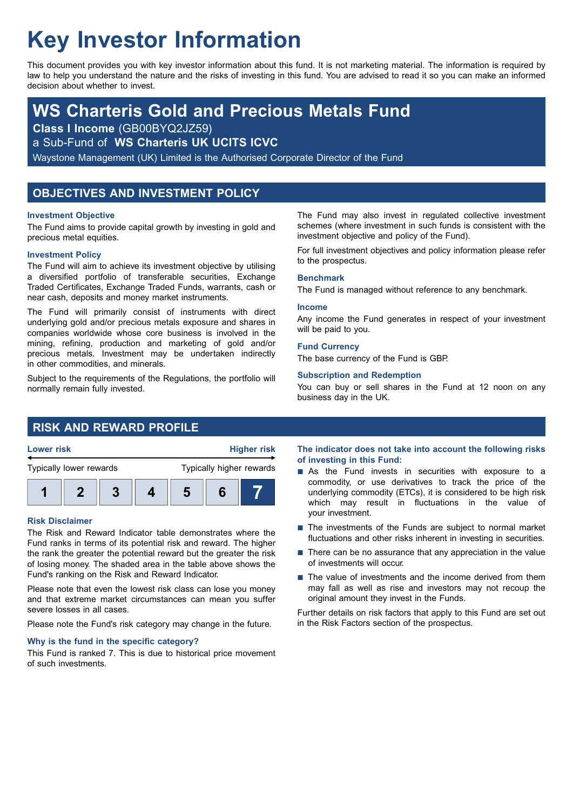# **Key Investor Information**

This document provides you with key investor information about this fund. It is not marketing material. The information is required by law to help you understand the nature and the risks of investing in this fund. You are advised to read it so you can make an informed decision about whether to invest.

## **WS Charteris Gold and Precious Metals Fund**

**Class I Income** (GB00BYQ2JZ59)

a Sub-Fund of **WS Charteris UK UCITS ICVC**

Waystone Management (UK) Limited is the Authorised Corporate Director of the Fund

## **OBJECTIVES AND INVESTMENT POLICY**

## **Investment Objective**

The Fund aims to provide capital growth by investing in gold and precious metal equities.

## **Investment Policy**

The Fund will aim to achieve its investment objective by utilising a diversified portfolio of transferable securities, Exchange Traded Certificates, Exchange Traded Funds, warrants, cash or near cash, deposits and money market instruments.

The Fund will primarily consist of instruments with direct underlying gold and/or precious metals exposure and shares in companies worldwide whose core business is involved in the mining, refining, production and marketing of gold and/or precious metals. Investment may be undertaken indirectly in other commodities, and minerals.

Subject to the requirements of the Regulations, the portfolio will normally remain fully invested.

## **RISK AND REWARD PROFILE**



## **Risk Disclaimer**

The Risk and Reward Indicator table demonstrates where the Fund ranks in terms of its potential risk and reward. The higher the rank the greater the potential reward but the greater the risk of losing money. The shaded area in the table above shows the Fund's ranking on the Risk and Reward Indicator.

Please note that even the lowest risk class can lose you money and that extreme market circumstances can mean you suffer severe losses in all cases.

Please note the Fund's risk category may change in the future.

## **Why is the fund in the specific category?**

This Fund is ranked 7. This is due to historical price movement of such investments.

The Fund may also invest in regulated collective investment schemes (where investment in such funds is consistent with the investment objective and policy of the Fund).

For full investment objectives and policy information please refer to the prospectus.

## **Benchmark**

The Fund is managed without reference to any benchmark.

#### **Income**

Any income the Fund generates in respect of your investment will be paid to you.

## **Fund Currency**

The base currency of the Fund is GBP.

## **Subscription and Redemption**

You can buy or sell shares in the Fund at 12 noon on any business day in the UK.

**The indicator does not take into account the following risks of investing in this Fund:**

- $\blacksquare$  As the Fund invests in securities with exposure to a commodity, or use derivatives to track the price of the underlying commodity (ETCs), it is considered to be high risk which may result in fluctuations in the value of your investment.
- The investments of the Funds are subject to normal market fluctuations and other risks inherent in investing in securities.
- $\blacksquare$  There can be no assurance that any appreciation in the value of investments will occur.
- $\blacksquare$  The value of investments and the income derived from them may fall as well as rise and investors may not recoup the original amount they invest in the Funds.

Further details on risk factors that apply to this Fund are set out in the Risk Factors section of the prospectus.